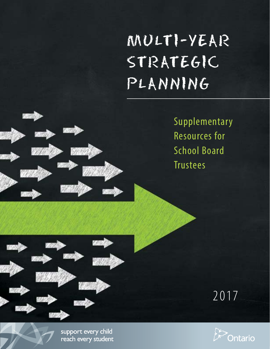# MULTI-YEAR STRATEGIC PLANNING

Supplementary Resources for School Board **Trustees** 





2017

support every child reach every student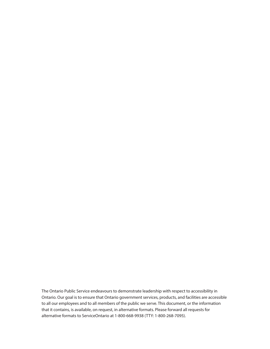The Ontario Public Service endeavours to demonstrate leadership with respect to accessibility in Ontario. Our goal is to ensure that Ontario government services, products, and facilities are accessible to all our employees and to all members of the public we serve. This document, or the information that it contains, is available, on request, in alternative formats. Please forward all requests for alternative formats to ServiceOntario at 1-800-668-9938 (TTY: 1-800-268-7095).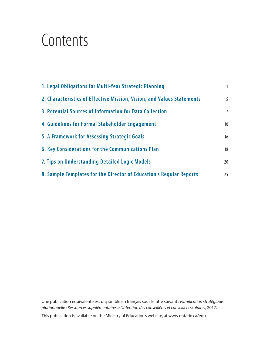# **Contents**

| 1. Legal Obligations for Multi-Year Strategic Planning                 | $\mathbf{1}$    |
|------------------------------------------------------------------------|-----------------|
| 2. Characteristics of Effective Mission, Vision, and Values Statements | 5               |
| 3. Potential Sources of Information for Data Collection                | $\overline{7}$  |
| 4. Guidelines for Formal Stakeholder Engagement                        | 10 <sup>°</sup> |
| 5. A Framework for Assessing Strategic Goals                           | 16              |
| 6. Key Considerations for the Communications Plan                      | 18              |
| 7. Tips on Understanding Detailed Logic Models                         | 20              |
| 8. Sample Templates for the Director of Education's Regular Reports    | 25              |

Une publication équivalente est disponible en français sous le titre suivant : *Planification stratégique pluriannuelle : Ressources supplémentaires à l'intention des conseillères et conseillers scolaires*, 2017.

This publication is available on the Ministry of Education's website, at www.ontario.ca/edu.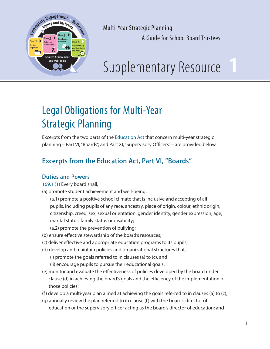

**1** 

## Legal Obligations for Multi-Year Strategic Planning

Excerpts from the two parts of the Education Act that concern multi-year strategic planning – Part VI, "Boards", and Part XI, "Supervisory Officers" – are provided below.

## **Excerpts from the Education Act, Part VI, "Boards"**

#### **Duties and Powers**

169.1 (1) Every board shall,

- (a) promote student achievement and well-being;
	- (a.1) promote a positive school climate that is inclusive and accepting of all pupils, including pupils of any race, ancestry, place of origin, colour, ethnic origin, citizenship, creed, sex, sexual orientation, gender identity, gender expression, age, marital status, family status or disability;

(a.2) promote the prevention of bullying;

- (b) ensure effective stewardship of the board's resources;
- (c) deliver effective and appropriate education programs to its pupils;
- (d) develop and maintain policies and organizational structures that, (i) promote the goals referred to in clauses (a) to (c), and
	- (ii) encourage pupils to pursue their educational goals;
- (e) monitor and evaluate the effectiveness of policies developed by the board under clause (d) in achieving the board's goals and the efficiency of the implementation of those policies;
- (f) develop a multi-year plan aimed at achieving the goals referred to in clauses (a) to  $(c)$ ;
- (g) annually review the plan referred to in clause (f) with the board's director of education or the supervisory officer acting as the board's director of education; and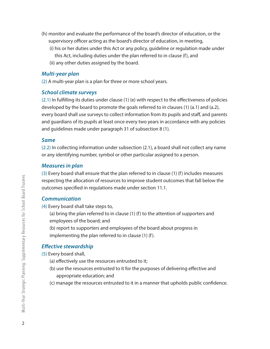- (h) monitor and evaluate the performance of the board's director of education, or the supervisory officer acting as the board's director of education, in meeting,
	- (i) his or her duties under this Act or any policy, guideline or regulation made under
		- this Act, including duties under the plan referred to in clause (f), and
	- (ii) any other duties assigned by the board.

#### *Multi-year plan*

(2) A multi-year plan is a plan for three or more school years.

#### *School climate surveys*

(2.1) In fulfilling its duties under clause (1) (e) with respect to the effectiveness of policies developed by the board to promote the goals referred to in clauses (1) (a.1) and (a.2), every board shall use surveys to collect information from its pupils and staff, and parents and guardians of its pupils at least once every two years in accordance with any policies and guidelines made under paragraph 31 of subsection 8 (1).

#### *Same*

(2.2) In collecting information under subsection (2.1), a board shall not collect any name or any identifying number, symbol or other particular assigned to a person.

#### *Measures in plan*

(3) Every board shall ensure that the plan referred to in clause (1) (f) includes measures respecting the allocation of resources to improve student outcomes that fall below the outcomes specified in regulations made under section 11.1.

#### *Communication*

- (4) Every board shall take steps to,
	- (a) bring the plan referred to in clause (1) (f) to the attention of supporters and employees of the board; and
	- (b) report to supporters and employees of the board about progress in implementing the plan referred to in clause (1) (f).

#### *Effective stewardship*

- (5) Every board shall,
	- (a) effectively use the resources entrusted to it;
	- (b) use the resources entrusted to it for the purposes of delivering effective and appropriate education; and
	- (c) manage the resources entrusted to it in a manner that upholds public confidence.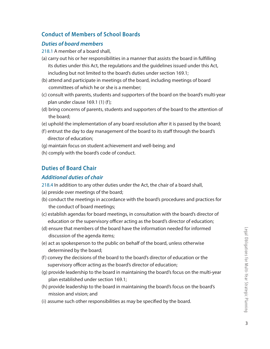#### **Conduct of Members of School Boards**

#### *Duties of board members*

218.1 A member of a board shall,

- (a) carry out his or her responsibilities in a manner that assists the board in fulfilling its duties under this Act, the regulations and the guidelines issued under this Act, including but not limited to the board's duties under section 169.1;
- (b) attend and participate in meetings of the board, including meetings of board committees of which he or she is a member;
- (c) consult with parents, students and supporters of the board on the board's multi-year plan under clause 169.1 (1) (f);
- (d) bring concerns of parents, students and supporters of the board to the attention of the board;
- (e) uphold the implementation of any board resolution after it is passed by the board;
- (f) entrust the day to day management of the board to its staff through the board's director of education;
- (g) maintain focus on student achievement and well-being; and
- (h) comply with the board's code of conduct.

#### **Duties of Board Chair**

#### *Additional duties of chair*

- 218.4 In addition to any other duties under the Act, the chair of a board shall,
- (a) preside over meetings of the board;
- (b) conduct the meetings in accordance with the board's procedures and practices for the conduct of board meetings;
- (c) establish agendas for board meetings, in consultation with the board's director of education or the supervisory officer acting as the board's director of education;
- (d) ensure that members of the board have the information needed for informed discussion of the agenda items;
- (e) act as spokesperson to the public on behalf of the board, unless otherwise determined by the board;
- (f) convey the decisions of the board to the board's director of education or the supervisory officer acting as the board's director of education;
- (g) provide leadership to the board in maintaining the board's focus on the multi-year plan established under section 169.1;
- (h) provide leadership to the board in maintaining the board's focus on the board's mission and vision; and
- (i) assume such other responsibilities as may be specified by the board.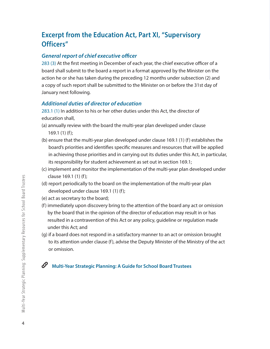## **Excerpt from the Education Act, Part XI, "Supervisory Officers"**

#### *General report of chief executive officer*

283 (3) At the first meeting in December of each year, the chief executive officer of a board shall submit to the board a report in a format approved by the Minister on the action he or she has taken during the preceding 12 months under subsection (2) and a copy of such report shall be submitted to the Minister on or before the 31st day of January next following.

#### *Additional duties of director of education*

283.1 (1) In addition to his or her other duties under this Act, the director of education shall,

- (a) annually review with the board the multi-year plan developed under clause 169.1 (1) (f);
- (b) ensure that the multi-year plan developed under clause 169.1 (1) (f) establishes the board's priorities and identifies specific measures and resources that will be applied in achieving those priorities and in carrying out its duties under this Act, in particular, its responsibility for student achievement as set out in section 169.1;
- (c) implement and monitor the implementation of the multi-year plan developed under clause 169.1 (1) (f);
- (d) report periodically to the board on the implementation of the multi-year plan developed under clause 169.1 (1) (f);
- (e) act as secretary to the board;
- (f) immediately upon discovery bring to the attention of the board any act or omission by the board that in the opinion of the director of education may result in or has resulted in a contravention of this Act or any policy, guideline or regulation made under this Act; and
- (g) if a board does not respond in a satisfactory manner to an act or omission brought to its attention under clause (f), advise the Deputy Minister of the Ministry of the act or omission.

#### $\mathscr{O}$ **Multi-Year Strategic Planning: A Guide for School Board Trustees**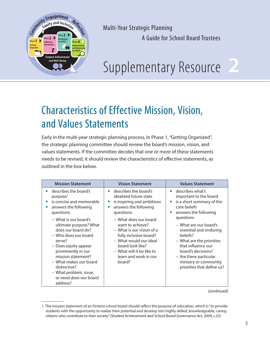

# **2**

## Characteristics of Effective Mission, Vision, and Values Statements

Early in the multi-year strategic planning process, in Phase 1, "Getting Organized", the strategic planning committee should review the board's mission, vision, and values statements. If the committee decides that one or more of these statements needs to be revised, it should review the characteristics of effective statements, as outlined in the box below.

| <b>Mission Statement</b>                                                                                                                                                                                                                                                              | <b>Vision Statement</b>                                                                                                                                                                                        | <b>Values Statement</b>                                                                                                                                                                                                              |
|---------------------------------------------------------------------------------------------------------------------------------------------------------------------------------------------------------------------------------------------------------------------------------------|----------------------------------------------------------------------------------------------------------------------------------------------------------------------------------------------------------------|--------------------------------------------------------------------------------------------------------------------------------------------------------------------------------------------------------------------------------------|
| describes the board's<br>purpose <sup>1</sup><br>is concise and memorable<br>answers the following<br>questions:                                                                                                                                                                      | • describes the board's<br>idealized future state<br>is inspiring and ambitious<br>answers the following<br>questions:                                                                                         | describes what's<br>$\bullet$<br>important to the board<br>is a short summary of the<br>core beliefs<br>answers the following                                                                                                        |
| - What is our board's<br>ultimate purpose? What<br>does our board do?<br>– Who does our board<br>serve?<br>- Does equity appear<br>prominently in our<br>mission statement?<br>- What makes our board<br>distinctive?<br>- What problem, issue,<br>or need does our board<br>address? | - What does our board<br>want to achieve?<br>- What is our vision of a<br>fully inclusive board?<br>- What would our ideal<br>board look like?<br>- What will it be like to<br>learn and work in our<br>board? | questions:<br>- What are our board's<br>essential and enduring<br>beliefs?<br>- What are the priorities<br>that influence our<br>board's decisions?<br>- Are there particular<br>ministry or community<br>priorities that define us? |

*(continued)*

<sup>1.</sup> The mission statement of an Ontario school board should reflect the purpose of education, which is "to provide students with the opportunity to realize their potential and develop into highly skilled, knowledgeable, caring citizens who contribute to their society." (Student Achievement and School Board Governance Act, 2009, c.25)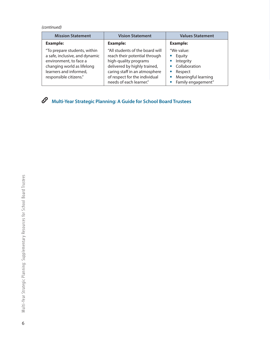*(continued)*

| <b>Mission Statement</b>                                                                                                                                                   | <b>Vision Statement</b>                                                                                                                                                                                                | <b>Values Statement</b>                                                                                                                                        |
|----------------------------------------------------------------------------------------------------------------------------------------------------------------------------|------------------------------------------------------------------------------------------------------------------------------------------------------------------------------------------------------------------------|----------------------------------------------------------------------------------------------------------------------------------------------------------------|
| <b>Example:</b>                                                                                                                                                            | <b>Example:</b>                                                                                                                                                                                                        | <b>Example:</b>                                                                                                                                                |
| "To prepare students, within<br>a safe, inclusive, and dynamic<br>environment, to face a<br>changing world as lifelong<br>learners and informed,<br>responsible citizens." | "All students of the board will<br>reach their potential through<br>high-quality programs<br>delivered by highly trained,<br>caring staff in an atmosphere<br>of respect for the individual<br>needs of each learner." | "We value:<br>Equity<br>$\bullet$<br>Integrity<br>$\bullet$<br>Collaboration<br>$\bullet$<br>Respect<br>Meaningful learning<br>$\bullet$<br>Family engagement" |

**Multi-Year Strategic Planning: A Guide for School Board Trustees**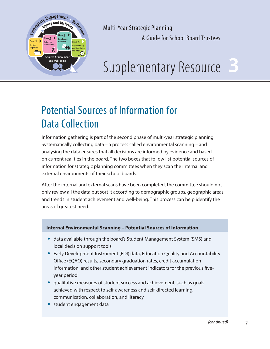

Supplementary Resource

## Potential Sources of Information for Data Collection

Information gathering is part of the second phase of multi-year strategic planning. Systematically collecting data – a process called environmental scanning – and analysing the data ensures that all decisions are informed by evidence and based on current realities in the board. The two boxes that follow list potential sources of information for strategic planning committees when they scan the internal and external environments of their school boards.

After the internal and external scans have been completed, the committee should not only review all the data but sort it according to demographic groups, geographic areas, and trends in student achievement and well-being. This process can help identify the areas of greatest need.

#### **Internal Environmental Scanning – Potential Sources of Information**

- **•** data available through the board's Student Management System (SMS) and local decision support tools
- **•** Early Development Instrument (EDI) data, Education Quality and Accountability Office (EQAO) results, secondary graduation rates, credit accumulation information, and other student achievement indicators for the previous fiveyear period
- **•** qualitative measures of student success and achievement, such as goals achieved with respect to self-awareness and self-directed learning, communication, collaboration, and literacy
- **•** student engagement data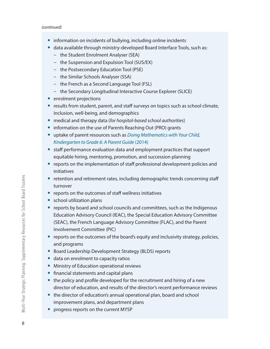- **•** information on incidents of bullying, including online incidents
- **•** data available through ministry-developed Board Interface Tools, such as:
	- − the Student Enrolment Analyser (SEA)
	- − the Suspension and Expulsion Tool (SUS/EX)
	- − the Postsecondary Education Tool (PSE)
	- − the Similar Schools Analyser (SSA)
	- − the French as a Second Language Tool (FSL)
	- − the Secondary Longitudinal Interactive Course Explorer (SLICE)
- **•** enrolment projections
- **•** results from student, parent, and staff surveys on topics such as school climate, inclusion, well-being, and demographics
- **•** medical and therapy data (*for hospital-based school authorities*)
- **•** information on the use of Parents Reaching Out (PRO) grants
- **•** uptake of parent resources such as *Doing Mathematics with Your Child, Kindergarten to Grade 6: A Parent Guide* (2014)
- **•** staff performance evaluation data and employment practices that support equitable hiring, mentoring, promotion, and succession planning
- **•** reports on the implementation of staff professional development policies and initiatives
- **•** retention and retirement rates, including demographic trends concerning staff turnover
- **•** reports on the outcomes of staff wellness initiatives
- **•** school utilization plans
- **•** reports by board and school councils and committees, such as the Indigenous Education Advisory Council (IEAC), the Special Education Advisory Committee (SEAC), the French Language Advisory Committee (FLAC), and the Parent Involvement Committee (PIC)
- **•** reports on the outcomes of the board's equity and inclusivity strategy, policies, and programs
- **•** Board Leadership Development Strategy (BLDS) reports
- **•** data on enrolment to capacity ratios
- **•** Ministry of Education operational reviews
- **•** financial statements and capital plans
- **•** the policy and profile developed for the recruitment and hiring of a new director of education, and results of the director's recent performance reviews
- **•** the director of education's annual operational plan, board and school improvement plans, and department plans
- **•** progress reports on the current MYSP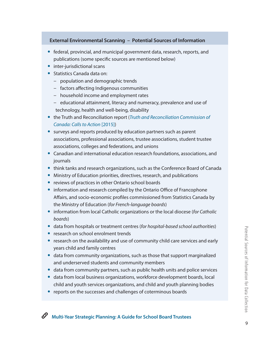#### **External Environmental Scanning – Potential Sources of Information**

- **•** federal, provincial, and municipal government data, research, reports, and publications (some specific sources are mentioned below)
- **•** inter-jurisdictional scans
- **•** Statistics Canada data on:
	- − population and demographic trends
	- − factors affecting Indigenous communities
	- − household income and employment rates
	- − educational attainment, literacy and numeracy, prevalence and use of technology, health and well-being, disability
- **•** the Truth and Reconciliation report (*Truth and Reconciliation Commission of Canada: Calls to Action* [2015])
- **•** surveys and reports produced by education partners such as parent associations, professional associations, trustee associations, student trustee associations, colleges and federations, and unions
- **•** Canadian and international education research foundations, associations, and journals
- **•** think tanks and research organizations, such as the Conference Board of Canada
- **•** Ministry of Education priorities, directives, research, and publications
- **•** reviews of practices in other Ontario school boards
- **•** information and research compiled by the Ontario Office of Francophone Affairs, and socio-economic profiles commissioned from Statistics Canada by the Ministry of Education (*for French-language boards*)
- **•** information from local Catholic organizations or the local diocese (*for Catholic boards*)
- **•** data from hospitals or treatment centres (*for hospital-based school authorities*)
- **•** research on school enrolment trends
- **•** research on the availability and use of community child care services and early years child and family centres
- **•** data from community organizations, such as those that support marginalized and underserved students and community members
- **•** data from community partners, such as public health units and police services
- **•** data from local business organizations, workforce development boards, local child and youth services organizations, and child and youth planning bodies
- **•** reports on the successes and challenges of coterminous boards

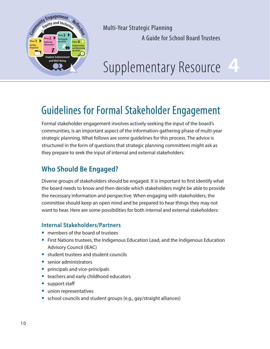

# **4**

## Guidelines for Formal Stakeholder Engagement

Formal stakeholder engagement involves actively seeking the input of the board's communities, is an important aspect of the information-gathering phase of multi-year strategic planning. What follows are some guidelines for this process. The advice is structured in the form of questions that strategic planning committees might ask as they prepare to seek the input of internal and external stakeholders.

## **Who Should Be Engaged?**

Diverse groups of stakeholders should be engaged. It is important to first identify what the board needs to know and then decide which stakeholders might be able to provide the necessary information and perspective. When engaging with stakeholders, the committee should keep an open mind and be prepared to hear things they may not want to hear. Here are some possibilities for both internal and external stakeholders:

#### **Internal Stakeholders/Partners**

- **•** members of the board of trustees
- **•** First Nations trustees, the Indigenous Education Lead, and the Indigenous Education Advisory Council (IEAC)
- **•** student trustees and student councils
- **•** senior administrators
- **•** principals and vice-principals
- **•** teachers and early childhood educators
- **•** support staff
- **•** union representatives
- **•** school councils and student groups (e.g., gay/straight alliances)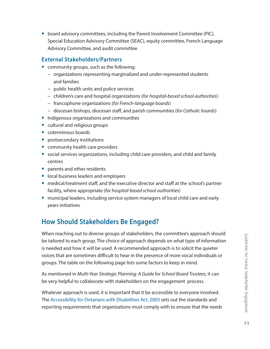**•** board advisory committees, including the Parent Involvement Committee (PIC), Special Education Advisory Committee (SEAC), equity committee, French Language Advisory Committee, and audit committee

#### **External Stakeholders/Partners**

- **•** community groups, such as the following:
	- − organizations representing marginalized and under-represented students and families
	- − public health units and police services
	- − children's care and hospital organizations (*for hospital-based school authorities*)
	- − francophone organizations (*for French-language boards*)
	- − diocesan bishops, diocesan staff, and parish communities (*for Catholic boards*)
- **•** Indigenous organizations and communities
- **•** cultural and religious groups
- **•** coterminous boards
- **•** postsecondary institutions
- **•** community health care providers
- **•** social services organizations, including child care providers, and child and family centres
- **•** parents and other residents
- **•** local business leaders and employers
- **•** medical/treatment staff, and the executive director and staff at the school's partner facility, where appropriate (*for hospital-based school authorities*)
- **•** municipal leaders, including service system managers of local child care and early years initiatives

## **How Should Stakeholders Be Engaged?**

When reaching out to diverse groups of stakeholders, the committee's approach should be tailored to each group. The choice of approach depends on what type of information is needed and how it will be used. A recommended approach is to solicit the quieter voices that are sometimes difficult to hear in the presence of more vocal individuals or groups. The table on the following page lists some factors to keep in mind.

As mentioned in *Multi-Year Strategic Planning: A Guide for School Board Trustees*, it can be very helpful to collaborate with stakeholders on the engagement process.

Whatever approach is used, it is important that it be accessible to everyone involved. The Accessibility for Ontarians with Disabilities Act, 2005 sets out the standards and reporting requirements that organizations must comply with to ensure that the needs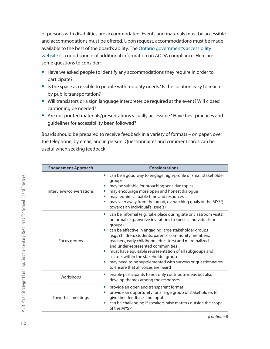of persons with disabilities are accommodated. Events and materials must be accessible and accommodations must be offered. Upon request, accommodations must be made available to the best of the board's ability. The Ontario government's accessibility website is a good source of additional information on AODA compliance. Here are some questions to consider:

- **•** Have we asked people to identify any accommodations they require in order to participate?
- **•** Is the space accessible to people with mobility needs? Is the location easy to reach by public transportation?
- **•** Will translators or a sign language interpreter be required at the event? Will closed captioning be needed?
- **•** Are our printed materials/presentations visually accessible? Have best practices and guidelines for accessibility been followed?

Boards should be prepared to receive feedback in a variety of formats – on paper, over the telephone, by email, and in person. Questionnaires and comment cards can be useful when seeking feedback.

| <b>Engagement Approach</b> | <b>Considerations</b>                                                                                                                                                                                                                                                                                                                                                                                                                                                                                                                                                                                                 |
|----------------------------|-----------------------------------------------------------------------------------------------------------------------------------------------------------------------------------------------------------------------------------------------------------------------------------------------------------------------------------------------------------------------------------------------------------------------------------------------------------------------------------------------------------------------------------------------------------------------------------------------------------------------|
| Interviews/conversations   | can be a good way to engage high-profile or small stakeholder<br>$\bullet$<br>groups<br>may be suitable for broaching sensitive topics<br>0<br>may encourage more open and honest dialogue<br>may require valuable time and resources<br>٠<br>may veer away from the broad, overarching goals of the MYSP,<br>towards an individual's issue(s)                                                                                                                                                                                                                                                                        |
| Focus groups               | can be informal (e.g., take place during site or classroom visits)<br>0<br>or formal (e.g., involve invitations to specific individuals or<br>groups)<br>can be effective in engaging large stakeholder groups<br>$\bullet$<br>(e.g., children, students, parents, community members,<br>teachers, early childhood educators) and marginalized<br>and under-represented communities<br>must have equitable representation of all subgroups and<br>$\bullet$<br>sectors within the stakeholder group<br>may need to be supplemented with surveys or questionnaires<br>$\bullet$<br>to ensure that all voices are heard |
| Workshops                  | enable participants to not only contribute ideas but also<br>develop themes among the responses                                                                                                                                                                                                                                                                                                                                                                                                                                                                                                                       |
| Town-hall meetings         | provide an open and transparent format<br>$\bullet$<br>provide an opportunity for a large group of stakeholders to<br>give their feedback and input<br>can be challenging if speakers raise matters outside the scope<br>$\bullet$<br>of the MYSP                                                                                                                                                                                                                                                                                                                                                                     |

*(continued)*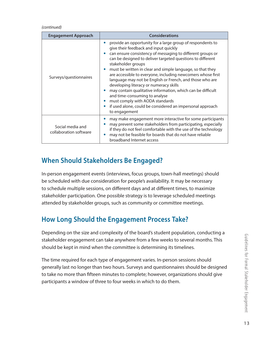#### *(continued)*

| <b>Engagement Approach</b>                 | <b>Considerations</b>                                                                                                                                                                                                                                                                                                                                                                                                                                                                                                                                                                                                                                                                                                       |
|--------------------------------------------|-----------------------------------------------------------------------------------------------------------------------------------------------------------------------------------------------------------------------------------------------------------------------------------------------------------------------------------------------------------------------------------------------------------------------------------------------------------------------------------------------------------------------------------------------------------------------------------------------------------------------------------------------------------------------------------------------------------------------------|
| Surveys/questionnaires                     | provide an opportunity for a large group of respondents to<br>۰<br>give their feedback and input quickly<br>can ensure consistency of messaging to different groups or<br>can be designed to deliver targeted questions to different<br>stakeholder groups<br>must be written in clear and simple language, so that they<br>are accessible to everyone, including newcomers whose first<br>language may not be English or French, and those who are<br>developing literacy or numeracy skills<br>may contain qualitative information, which can be difficult<br>and time-consuming to analyse<br>must comply with AODA standards<br>if used alone, could be considered an impersonal approach<br>$\bullet$<br>to engagement |
| Social media and<br>collaboration software | may make engagement more interactive for some participants<br>may prevent some stakeholders from participating, especially<br>if they do not feel comfortable with the use of the technology<br>may not be feasible for boards that do not have reliable<br>broadband Internet access                                                                                                                                                                                                                                                                                                                                                                                                                                       |

### **When Should Stakeholders Be Engaged?**

In-person engagement events (interviews, focus groups, town-hall meetings) should be scheduled with due consideration for people's availability. It may be necessary to schedule multiple sessions, on different days and at different times, to maximize stakeholder participation. One possible strategy is to leverage scheduled meetings attended by stakeholder groups, such as community or committee meetings.

## **How Long Should the Engagement Process Take?**

Depending on the size and complexity of the board's student population, conducting a stakeholder engagement can take anywhere from a few weeks to several months. This should be kept in mind when the committee is determining its timelines.

The time required for each type of engagement varies. In-person sessions should generally last no longer than two hours. Surveys and questionnaires should be designed to take no more than fifteen minutes to complete; however, organizations should give participants a window of three to four weeks in which to do them.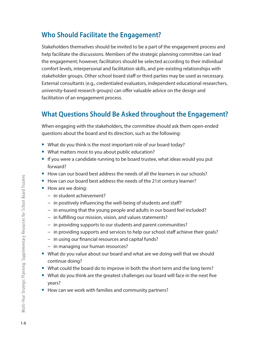## **Who Should Facilitate the Engagement?**

Stakeholders themselves should be invited to be a part of the engagement process and help facilitate the discussions. Members of the strategic planning committee can lead the engagement; however, facilitators should be selected according to their individual comfort levels, interpersonal and facilitation skills, and pre-existing relationships with stakeholder groups. Other school board staff or third parties may be used as necessary. External consultants (e.g., credentialed evaluators, independent educational researchers, university-based research groups) can offer valuable advice on the design and facilitation of an engagement process.

## **What Questions Should Be Asked throughout the Engagement?**

When engaging with the stakeholders, the committee should ask them open-ended questions about the board and its direction, such as the following:

- **•** What do you think is the most important role of our board today?
- **•** What matters most to you about public education?
- **•** If you were a candidate running to be board trustee, what ideas would you put forward?
- **•** How can our board best address the needs of all the learners in our schools?
- **•** How can our board best address the needs of the 21st century learner?
- **•** How are we doing:
	- − in student achievement?
	- − in positively influencing the well-being of students and staff?
	- − in ensuring that the young people and adults in our board feel included?
	- − in fulfilling our mission, vision, and values statements?
	- − in providing supports to our students and parent communities?
	- − in providing supports and services to help our school staff achieve their goals?
	- − in using our financial resources and capital funds?
	- − in managing our human resources?
- **•** What do you value about our board and what are we doing well that we should continue doing?
- **•** What could the board do to improve in both the short term and the long term?
- **•** What do you think are the greatest challenges our board will face in the next five years?
- **•** How can we work with families and community partners?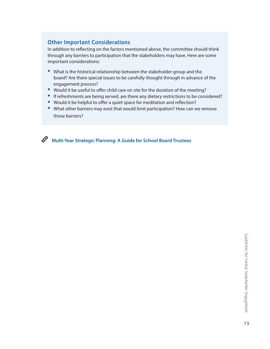#### **Other Important Considerations**

In addition to reflecting on the factors mentioned above, the committee should think through any barriers to participation that the stakeholders may have. Here are some important considerations:

- **•** What is the historical relationship between the stakeholder group and the board? Are there special issues to be carefully thought through in advance of the engagement process?
- **•** Would it be useful to offer child care on site for the duration of the meeting?
- **•** If refreshments are being served, are there any dietary restrictions to be considered?
- **•** Would it be helpful to offer a quiet space for meditation and reflection?
- **•** What other barriers may exist that would limit participation? How can we remove those barriers?

 $\mathscr{O}$ **Multi-Year Strategic Planning: A Guide for School Board Trustees**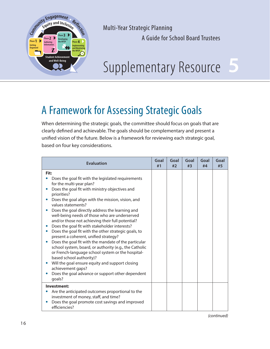

Multi-Year Strategic Planning

A Guide for School Board Trustees

# Supplementary Resource

## A Framework for Assessing Strategic Goals

When determining the strategic goals, the committee should focus on goals that are clearly defined and achievable. The goals should be complementary and present a unified vision of the future. Below is a framework for reviewing each strategic goal, based on four key considerations.

| <b>Evaluation</b>                                                                                                                                                                                                                                                                                                                                                                                                                                                                                                                                                                                                                                                                                                                                                                                                                                                                                  | Goal<br>#1 | Goal<br>#2 | Goal<br>#3 | Goal<br>#4 | Goal<br>#5 |
|----------------------------------------------------------------------------------------------------------------------------------------------------------------------------------------------------------------------------------------------------------------------------------------------------------------------------------------------------------------------------------------------------------------------------------------------------------------------------------------------------------------------------------------------------------------------------------------------------------------------------------------------------------------------------------------------------------------------------------------------------------------------------------------------------------------------------------------------------------------------------------------------------|------------|------------|------------|------------|------------|
| Fit:<br>Does the goal fit with the legislated requirements<br>for the multi-year plan?<br>Does the goal fit with ministry objectives and<br>priorities?<br>Does the goal align with the mission, vision, and<br>values statements?<br>Does the goal directly address the learning and<br>well-being needs of those who are underserved<br>and/or those not achieving their full potential?<br>Does the goal fit with stakeholder interests?<br>Does the goal fit with the other strategic goals, to<br>$\bullet$<br>present a coherent, unified strategy?<br>Does the goal fit with the mandate of the particular<br>school system, board, or authority (e.g., the Catholic<br>or French-language school system or the hospital-<br>based school authority)?<br>Will the goal ensure equity and support closing<br>achievement gaps?<br>Does the goal advance or support other dependent<br>qoals? |            |            |            |            |            |
| Investment:<br>Are the anticipated outcomes proportional to the<br>investment of money, staff, and time?<br>Does the goal promote cost savings and improved<br>efficiencies?                                                                                                                                                                                                                                                                                                                                                                                                                                                                                                                                                                                                                                                                                                                       |            |            |            |            |            |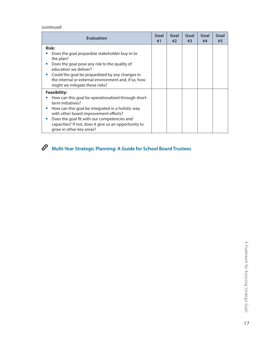*(continued)*

| <b>Evaluation</b>                                                                                                                                                                                                                                                                                                                              | Goal<br>#1 | Goal<br>#2 | Goal<br>#3 | Goal<br>#4 | Goal<br>#5 |
|------------------------------------------------------------------------------------------------------------------------------------------------------------------------------------------------------------------------------------------------------------------------------------------------------------------------------------------------|------------|------------|------------|------------|------------|
| <b>Risk:</b><br>Does the goal jeopardize stakeholder buy-in to<br>the plan?<br>Does the goal pose any risk to the quality of<br>education we deliver?<br>Could the goal be jeopardized by any changes in<br>the internal or external environment and, if so, how<br>might we mitigate these risks?                                             |            |            |            |            |            |
| <b>Feasibility:</b><br>How can this goal be operationalized through short-<br>term initiatives?<br>How can this goal be integrated in a holistic way<br>with other board improvement efforts?<br>Does the goal fit with our competencies and<br>$\bullet$<br>capacities? If not, does it give us an opportunity to<br>grow in other key areas? |            |            |            |            |            |

**Multi-Year Strategic Planning: A Guide for School Board Trustees**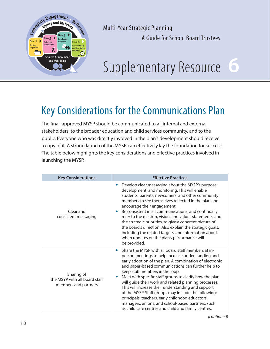

# **6**

## Key Considerations for the Communications Plan

The final, approved MYSP should be communicated to all internal and external stakeholders, to the broader education and child services community, and to the public. Everyone who was directly involved in the plan's development should receive a copy of it. A strong launch of the MYSP can effectively lay the foundation for success. The table below highlights the key considerations and effective practices involved in launching the MYSP.

| <b>Key Considerations</b>                                           | <b>Effective Practices</b>                                                                                                                                                                                                                                                                                                                                                                                                                                                                                                                                                                                                                                                  |  |  |
|---------------------------------------------------------------------|-----------------------------------------------------------------------------------------------------------------------------------------------------------------------------------------------------------------------------------------------------------------------------------------------------------------------------------------------------------------------------------------------------------------------------------------------------------------------------------------------------------------------------------------------------------------------------------------------------------------------------------------------------------------------------|--|--|
| Clear and<br>consistent messaging                                   | Develop clear messaging about the MYSP's purpose,<br>development, and monitoring. This will enable<br>students, parents, newcomers, and other community<br>members to see themselves reflected in the plan and<br>encourage their engagement.<br>Be consistent in all communications, and continually<br>refer to the mission, vision, and values statements, and<br>the strategic priorities, to give a coherent picture of<br>the board's direction. Also explain the strategic goals,<br>including the related targets, and information about<br>when updates on the plan's performance will<br>be provided.                                                             |  |  |
| Sharing of<br>the MSYP with all board staff<br>members and partners | Share the MYSP with all board staff members at in-<br>$\bullet$<br>person meetings to help increase understanding and<br>early adoption of the plan. A combination of electronic<br>and paper-based communications can further help to<br>keep staff members in the loop.<br>Meet with specific staff groups to clarify how the plan<br>will guide their work and related planning processes.<br>This will increase their understanding and support<br>of the MYSP. Staff groups may include the following:<br>principals, teachers, early childhood educators,<br>managers, unions, and school-based partners, such<br>as child care centres and child and family centres. |  |  |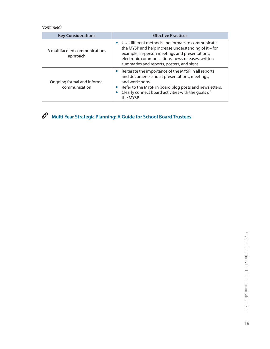#### *(continued)*

| <b>Key Considerations</b>                    | <b>Effective Practices</b>                                                                                                                                                                                                                                                    |
|----------------------------------------------|-------------------------------------------------------------------------------------------------------------------------------------------------------------------------------------------------------------------------------------------------------------------------------|
| A multifaceted communications<br>approach    | Use different methods and formats to communicate<br>the MYSP and help increase understanding of it $-$ for<br>example, in-person meetings and presentations,<br>electronic communications, news releases, written<br>summaries and reports, posters, and signs.               |
| Ongoing formal and informal<br>communication | Reiterate the importance of the MYSP in all reports<br>and documents and at presentations, meetings,<br>and workshops.<br>Refer to the MYSP in board blog posts and newsletters.<br>$\bullet$<br>Clearly connect board activities with the goals of<br>$\bullet$<br>the MYSP. |



## **Multi-Year Strategic Planning: A Guide for School Board Trustees**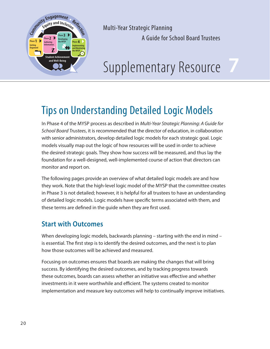

# **Pand Well-Being**

## Tips on Understanding Detailed Logic Models

In Phase 4 of the MYSP process as described in *Multi-Year Strategic Planning: A Guide for School Board Trustees*, it is recommended that the director of education, in collaboration with senior administrators, develop detailed logic models for each strategic goal. Logic models visually map out the logic of how resources will be used in order to achieve the desired strategic goals. They show how success will be measured, and thus lay the foundation for a well-designed, well-implemented course of action that directors can monitor and report on.

The following pages provide an overview of what detailed logic models are and how they work. Note that the high-level logic model of the MYSP that the committee creates in Phase 3 is not detailed; however, it is helpful for all trustees to have an understanding of detailed logic models. Logic models have specific terms associated with them, and these terms are defined in the guide when they are first used.

## **Start with Outcomes**

When developing logic models, backwards planning – starting with the end in mind – is essential. The first step is to identify the desired outcomes, and the next is to plan how those outcomes will be achieved and measured.

Focusing on outcomes ensures that boards are making the changes that will bring success. By identifying the desired outcomes, and by tracking progress towards these outcomes, boards can assess whether an initiative was effective and whether investments in it were worthwhile and efficient. The systems created to monitor implementation and measure key outcomes will help to continually improve initiatives.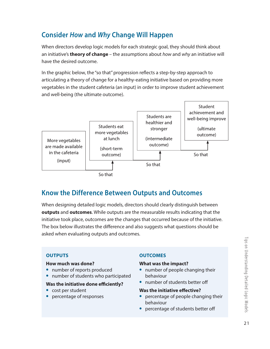## **Consider** *How* **and** *Why* **Change Will Happen**

When directors develop logic models for each strategic goal, they should think about an initiative's **theory of change** – the assumptions about *how* and *why* an initiative will have the desired outcome.

In the graphic below, the "so that" progression reflects a step-by-step approach to articulating a theory of change for a healthy-eating initiative based on providing more vegetables in the student cafeteria (an input) in order to improve student achievement and well-being (the ultimate outcome).



## **Know the Difference Between Outputs and Outcomes**

When designing detailed logic models, directors should clearly distinguish between **outputs** and **outcomes**. While outputs are the measurable results indicating that the initiative took place, outcomes are the changes that occurred because of the initiative. The box below illustrates the difference and also suggests what questions should be asked when evaluating outputs and outcomes.

#### **OUTPUTS**

#### **How much was done?**

- **•** number of reports produced
- **•** number of students who participated

#### **Was the initiative done efficiently?**

- **•** cost per student
- **•** percentage of responses

#### **OUTCOMES**

#### **What was the impact?**

- **•** number of people changing their behaviour
- **•** number of students better off

#### **Was the initiative effective?**

- **•** percentage of people changing their behaviour
- **•** percentage of students better off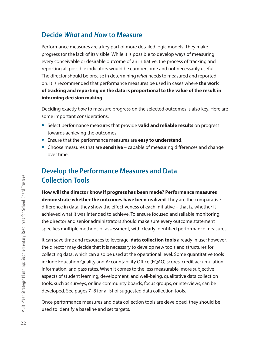### **Decide** *What* **and** *How* **to Measure**

Performance measures are a key part of more detailed logic models. They make progress (or the lack of it) visible. While it is possible to develop ways of measuring every conceivable or desirable outcome of an initiative, the process of tracking and reporting all possible indicators would be cumbersome and not necessarily useful. The director should be precise in determining *what* needs to measured and reported on. It is recommended that performance measures be used in cases where **the work of tracking and reporting on the data is proportional to the value of the result in informing decision making**.

Deciding exactly *how* to measure progress on the selected outcomes is also key. Here are some important considerations:

- **•** Select performance measures that provide **valid and reliable results** on progress towards achieving the outcomes.
- **•** Ensure that the performance measures are **easy to understand**.
- **•** Choose measures that are **sensitive** capable of measuring differences and change over time.

## **Develop the Performance Measures and Data Collection Tools**

**How will the director know if progress has been made? Performance measures demonstrate whether the outcomes have been realized**. They are the comparative difference in data; they show the effectiveness of each initiative – that is, whether it achieved what it was intended to achieve. To ensure focused and reliable monitoring, the director and senior administrators should make sure every outcome statement specifies multiple methods of assessment, with clearly identified performance measures.

It can save time and resources to leverage **data collection tools** already in use; however, the director may decide that it is necessary to develop new tools and structures for collecting data, which can also be used at the operational level. Some quantitative tools include Education Quality and Accountability Office (EQAO) scores, credit accumulation information, and pass rates. When it comes to the less measurable, more subjective aspects of student learning, development, and well-being, qualitative data collection tools, such as surveys, online community boards, focus groups, or interviews, can be developed. See pages 7–8 for a list of suggested data collection tools.

Once performance measures and data collection tools are developed, they should be used to identify a baseline and set targets.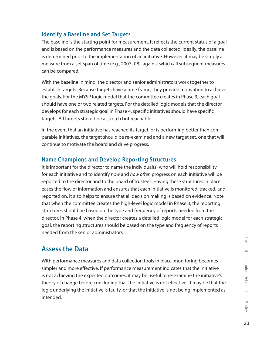#### **Identify a Baseline and Set Targets**

The baseline is the starting point for measurement. It reflects the current status of a goal and is based on the performance measures and the data collected. Ideally, the baseline is determined prior to the implementation of an initiative. However, it may be simply a measure from a set span of time (e.g., 2007–08), against which all subsequent measures can be compared.

With the baseline in mind, the director and senior administrators work together to establish targets. Because targets have a time frame, they provide motivation to achieve the goals. For the MYSP logic model that the committee creates in Phase 3, each goal should have one or two related targets. For the detailed logic models that the director develops for each strategic goal in Phase 4, specific initiatives should have specific targets. All targets should be a stretch but reachable.

In the event that an initiative has reached its target, or is performing better than comparable initiatives, the target should be re-examined and a new target set, one that will continue to motivate the board and drive progress.

#### **Name Champions and Develop Reporting Structures**

It is important for the director to name the individual(s) who will hold responsibility for each initiative and to identify *how* and *how often* progress on each initiative will be reported to the director and to the board of trustees. Having these structures in place eases the flow of information and ensures that each initiative is monitored, tracked, and reported on. It also helps to ensure that all decision making is based on evidence. Note that when the committee creates the high-level logic model in Phase 3, the reporting structures should be based on the type and frequency of reports needed from the director. In Phase 4, when the director creates a detailed logic model for each strategic goal, the reporting structures should be based on the type and frequency of reports needed from the senior administrators.

## **Assess the Data**

With performance measures and data collection tools in place, monitoring becomes simpler and more effective. If performance measurement indicates that the initiative is not achieving the expected outcomes, it may be useful to re-examine the initiative's theory of change before concluding that the initiative is not effective. It may be that the logic underlying the initiative is faulty, or that the initiative is not being implemented as intended.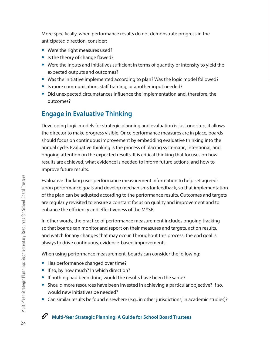More specifically, when performance results do not demonstrate progress in the anticipated direction, consider:

- **•** Were the right measures used?
- **•** Is the theory of change flawed?
- **•** Were the inputs and initiatives sufficient in terms of quantity or intensity to yield the expected outputs and outcomes?
- **•** Was the initiative implemented according to plan? Was the logic model followed?
- **•** Is more communication, staff training, or another input needed?
- **•** Did unexpected circumstances influence the implementation and, therefore, the outcomes?

## **Engage in Evaluative Thinking**

Developing logic models for strategic planning and evaluation is just one step; it allows the director to make progress visible. Once performance measures are in place, boards should focus on continuous improvement by embedding evaluative thinking into the annual cycle. Evaluative thinking is the process of placing systematic, intentional, and ongoing attention on the expected results. It is critical thinking that focuses on how results are achieved, what evidence is needed to inform future actions, and how to improve future results.

Evaluative thinking uses performance measurement information to help set agreedupon performance goals and develop mechanisms for feedback, so that implementation of the plan can be adjusted according to the performance results. Outcomes and targets are regularly revisited to ensure a constant focus on quality and improvement and to enhance the efficiency and effectiveness of the MYSP.

In other words, the practice of performance measurement includes ongoing tracking so that boards can monitor and report on their measures and targets, act on results, and watch for any changes that may occur. Throughout this process, the end goal is always to drive continuous, evidence-based improvements.

When using performance measurement, boards can consider the following:

- **•** Has performance changed over time?
- **•** If so, by how much? In which direction?
- **•** If nothing had been done, would the results have been the same?
- **•** Should more resources have been invested in achieving a particular objective? If so, would new initiatives be needed?
- **•** Can similar results be found elsewhere (e.g., in other jurisdictions, in academic studies)?

#### P **Multi-Year Strategic Planning: A Guide for School Board Trustees**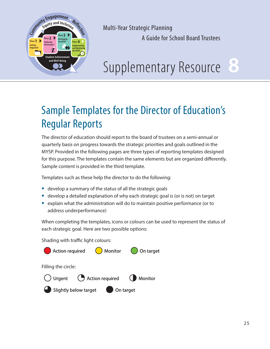

# **8**

## Sample Templates for the Director of Education's Regular Reports

The director of education should report to the board of trustees on a semi-annual or quarterly basis on progress towards the strategic priorities and goals outlined in the MYSP. Provided in the following pages are three types of reporting templates designed for this purpose. The templates contain the same elements but are organized differently. Sample content is provided in the third template.

Templates such as these help the director to do the following:

- **•** develop a summary of the status of all the strategic goals
- **•** develop a detailed explanation of why each strategic goal is (or is not) on target
- **•** explain what the administration will do to maintain positive performance (or to address underperformance)

When completing the templates, icons or colours can be used to represent the status of each strategic goal. Here are two possible options:

Shading with traffic light colours:

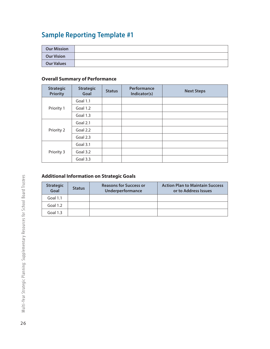## **Sample Reporting Template #1**

| <b>Our Mission</b> |  |
|--------------------|--|
| <b>Our Vision</b>  |  |
| <b>Our Values</b>  |  |

#### **Overall Summary of Performance**

| <b>Strategic</b><br><b>Priority</b> | <b>Strategic</b><br>Goal | <b>Status</b> | Performance<br>Indicator(s) | <b>Next Steps</b> |
|-------------------------------------|--------------------------|---------------|-----------------------------|-------------------|
|                                     | Goal 1.1                 |               |                             |                   |
| Priority 1                          | Goal 1.2                 |               |                             |                   |
|                                     | Goal 1.3                 |               |                             |                   |
|                                     | Goal 2.1                 |               |                             |                   |
| Priority 2                          | Goal 2.2                 |               |                             |                   |
|                                     | Goal 2.3                 |               |                             |                   |
|                                     | Goal 3.1                 |               |                             |                   |
| Priority 3                          | Goal 3.2                 |               |                             |                   |
|                                     | Goal 3.3                 |               |                             |                   |

#### **Additional Information on Strategic Goals**

| <b>Strategic</b><br>Goal | <b>Status</b> | <b>Reasons for Success or</b><br>Underperformance | <b>Action Plan to Maintain Success</b><br>or to Address Issues |
|--------------------------|---------------|---------------------------------------------------|----------------------------------------------------------------|
| Goal $1.1$               |               |                                                   |                                                                |
| Goal $1.2$               |               |                                                   |                                                                |
| Goal $1.3$               |               |                                                   |                                                                |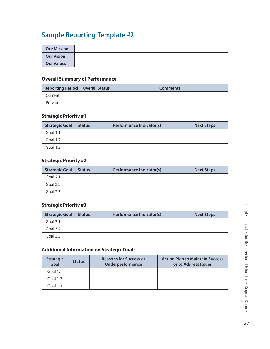## **Sample Reporting Template #2**

| <b>Our Mission</b> |  |
|--------------------|--|
| <b>Our Vision</b>  |  |
| <b>Our Values</b>  |  |

#### **Overall Summary of Performance**

| <b>Reporting Period   Overall Status  </b> | <b>Comments</b> |
|--------------------------------------------|-----------------|
| Current                                    |                 |
| Previous                                   |                 |

#### **Strategic Priority #1**

| <b>Strategic Goal</b> | <b>Status</b> | Performance Indicator(s) | <b>Next Steps</b> |
|-----------------------|---------------|--------------------------|-------------------|
| <b>Goal 1.1</b>       |               |                          |                   |
| Goal 1.2              |               |                          |                   |
| Goal 1.3              |               |                          |                   |

#### **Strategic Priority #2**

| <b>Strategic Goal</b> | <b>Status</b> | Performance Indicator(s) | <b>Next Steps</b> |
|-----------------------|---------------|--------------------------|-------------------|
| Goal $2.1$            |               |                          |                   |
| Goal 2.2              |               |                          |                   |
| Goal 2.3              |               |                          |                   |

#### **Strategic Priority #3**

| <b>Strategic Goal</b> | <b>Status</b> | Performance Indicator(s) | <b>Next Steps</b> |
|-----------------------|---------------|--------------------------|-------------------|
| Goal 3.1              |               |                          |                   |
| Goal 3.2              |               |                          |                   |
| Goal $3.3$            |               |                          |                   |

#### **Additional Information on Strategic Goals**

| <b>Strategic</b><br>Goal | <b>Status</b> | <b>Reasons for Success or</b><br>Underperformance | <b>Action Plan to Maintain Success</b><br>or to Address Issues |
|--------------------------|---------------|---------------------------------------------------|----------------------------------------------------------------|
| Goal 1.1                 |               |                                                   |                                                                |
| Goal $1.2$               |               |                                                   |                                                                |
| Goal $1.3$               |               |                                                   |                                                                |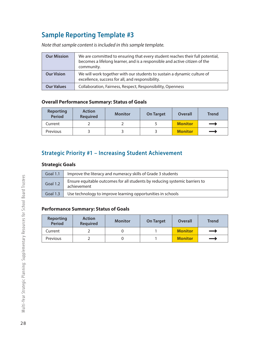## **Sample Reporting Template #3**

*Note that sample content is included in this sample template.*

| <b>Our Mission</b> | We are committed to ensuring that every student reaches their full potential,<br>becomes a lifelong learner, and is a responsible and active citizen of the<br>community. |
|--------------------|---------------------------------------------------------------------------------------------------------------------------------------------------------------------------|
| <b>Our Vision</b>  | We will work together with our students to sustain a dynamic culture of<br>excellence, success for all, and responsibility.                                               |
| <b>Our Values</b>  | Collaboration, Fairness, Respect, Responsibility, Openness                                                                                                                |

#### **Overall Performance Summary: Status of Goals**

| <b>Reporting</b><br><b>Period</b> | <b>Action</b><br><b>Required</b> | <b>Monitor</b> | <b>On Target</b> | Overall        | <b>Trend</b>  |
|-----------------------------------|----------------------------------|----------------|------------------|----------------|---------------|
| Current                           |                                  |                |                  | <b>Monitor</b> |               |
| Previous                          |                                  |                |                  | <b>Monitor</b> | $\rightarrow$ |

#### **Strategic Priority #1 – Increasing Student Achievement**

#### **Strategic Goals**

| Goal 1.1 | Improve the literacy and numeracy skills of Grade 3 students                               |
|----------|--------------------------------------------------------------------------------------------|
| Goal 1.2 | Ensure equitable outcomes for all students by reducing systemic barriers to<br>achievement |
| Goal 1.3 | Use technology to improve learning opportunities in schools                                |

#### **Performance Summary: Status of Goals**

| <b>Reporting</b><br><b>Period</b> | <b>Action</b><br><b>Required</b> | <b>Monitor</b> | <b>On Target</b> | Overall        | <b>Trend</b> |
|-----------------------------------|----------------------------------|----------------|------------------|----------------|--------------|
| Current                           |                                  |                |                  | <b>Monitor</b> | —            |
| Previous                          |                                  |                |                  | <b>Monitor</b> | —            |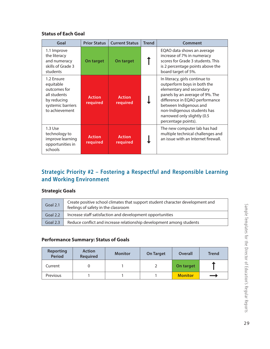#### **Status of Each Goal**

| Goal                                                                                                          | <b>Prior Status</b>       | <b>Current Status</b>     | <b>Trend</b> | Comment                                                                                                                                                                                                                                                                       |
|---------------------------------------------------------------------------------------------------------------|---------------------------|---------------------------|--------------|-------------------------------------------------------------------------------------------------------------------------------------------------------------------------------------------------------------------------------------------------------------------------------|
| 1.1 Improve<br>the literacy<br>and numeracy<br>skills of Grade 3<br>students                                  | On target                 | On target                 |              | EQAO data shows an average<br>increase of 7% in numeracy<br>scores for Grade 3 students. This<br>is 2 percentage points above the<br>board target of 5%.                                                                                                                      |
| 1.2 Ensure<br>equitable<br>outcomes for<br>all students<br>by reducing<br>systemic barriers<br>to achievement | <b>Action</b><br>required | <b>Action</b><br>required |              | In literacy, girls continue to<br>outperform boys in both the<br>elementary and secondary<br>panels by an average of 9%. The<br>difference in EQAO performance<br>between Indigenous and<br>non-Indigenous students has<br>narrowed only slightly (0.5<br>percentage points). |
| 1.3 Use<br>technology to<br>improve learning<br>opportunities in<br>schools                                   | <b>Action</b><br>required | <b>Action</b><br>required |              | The new computer lab has had<br>multiple technical challenges and<br>an issue with an Internet firewall.                                                                                                                                                                      |

### **Strategic Priority #2 – Fostering a Respectful and Responsible Learning and Working Environment**

#### **Strategic Goals**

| Goal 2.1             | Create positive school climates that support student character development and<br>feelings of safety in the classroom |
|----------------------|-----------------------------------------------------------------------------------------------------------------------|
| Goal 2.2 $\parallel$ | Increase staff satisfaction and development opportunities                                                             |
| Goal 2.3 $\parallel$ | Reduce conflict and increase relationship development among students                                                  |

#### **Performance Summary: Status of Goals**

| <b>Reporting</b><br><b>Period</b> | <b>Action</b><br>Required | <b>Monitor</b> | <b>On Target</b> | Overall        | <b>Trend</b> |
|-----------------------------------|---------------------------|----------------|------------------|----------------|--------------|
| Current                           |                           |                |                  | On target      |              |
| Previous                          |                           |                |                  | <b>Monitor</b> | _            |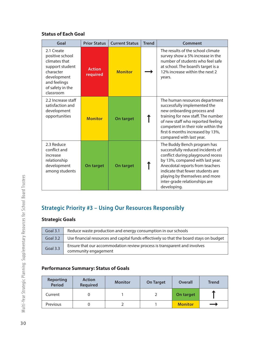#### **Status of Each Goal**

| Goal                                                                                                                                           | <b>Prior Status</b>       | <b>Current Status</b> | <b>Trend</b> | Comment                                                                                                                                                                                                                                                                                            |
|------------------------------------------------------------------------------------------------------------------------------------------------|---------------------------|-----------------------|--------------|----------------------------------------------------------------------------------------------------------------------------------------------------------------------------------------------------------------------------------------------------------------------------------------------------|
| 2.1 Create<br>positive school<br>climates that<br>support student<br>character<br>development<br>and feelings<br>of safety in the<br>classroom | <b>Action</b><br>required | <b>Monitor</b>        |              | The results of the school climate<br>survey show a 5% increase in the<br>number of students who feel safe<br>at school. The board's target is a<br>12% increase within the next 2<br>years.                                                                                                        |
| 2.2 Increase staff<br>satisfaction and<br>development<br>opportunities                                                                         | <b>Monitor</b>            | On target             |              | The human resources department<br>successfully implemented the<br>new onboarding process and<br>training for new staff. The number<br>of new staff who reported feeling<br>competent in their role within the<br>first 6 months increased by 13%,<br>compared with last year.                      |
| 2.3 Reduce<br>conflict and<br>increase<br>relationship<br>development<br>among students                                                        | On target                 | On target             |              | The Buddy Bench program has<br>successfully reduced incidents of<br>conflict during playground recess<br>by 13%, compared with last year.<br>Anecdotal reports from teachers<br>indicate that fewer students are<br>playing by themselves and more<br>inter-grade relationships are<br>developing. |

### **Strategic Priority #3 – Using Our Resources Responsibly**

#### **Strategic Goals**

| Goal 3.1   | Reduce waste production and energy consumption in our schools                                    |
|------------|--------------------------------------------------------------------------------------------------|
| Goal $3.2$ | Use financial resources and capital funds effectively so that the board stays on budget          |
| Goal 3.3   | Ensure that our accommodation review process is transparent and involves<br>community engagement |

#### **Performance Summary: Status of Goals**

| <b>Reporting</b><br><b>Period</b> | <b>Action</b><br><b>Required</b> | <b>Monitor</b> | <b>On Target</b> | Overall        | <b>Trend</b> |
|-----------------------------------|----------------------------------|----------------|------------------|----------------|--------------|
| Current                           |                                  |                |                  | On target      |              |
| Previous                          |                                  |                |                  | <b>Monitor</b> |              |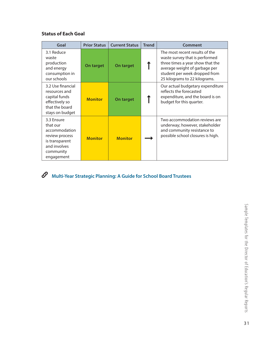#### **Status of Each Goal**

| Goal                                                                                                                   | <b>Prior Status</b> | <b>Current Status</b> | <b>Trend</b> | Comment                                                                                                                                                                                                 |
|------------------------------------------------------------------------------------------------------------------------|---------------------|-----------------------|--------------|---------------------------------------------------------------------------------------------------------------------------------------------------------------------------------------------------------|
| 3.1 Reduce<br>waste<br>production<br>and energy<br>consumption in<br>our schools                                       | On target           | On target             |              | The most recent results of the<br>waste survey that is performed<br>three times a year show that the<br>average weight of garbage per<br>student per week dropped from<br>25 kilograms to 22 kilograms. |
| 3.2 Use financial<br>resources and<br>capital funds<br>effectively so<br>that the board<br>stays on budget             | <b>Monitor</b>      | On target             |              | Our actual budgetary expenditure<br>reflects the forecasted<br>expenditure, and the board is on<br>budget for this quarter.                                                                             |
| 3.3 Ensure<br>that our<br>accommodation<br>review process<br>is transparent<br>and involves<br>community<br>engagement | <b>Monitor</b>      | <b>Monitor</b>        |              | Two accommodation reviews are<br>underway; however, stakeholder<br>and community resistance to<br>possible school closures is high.                                                                     |

## **Multi-Year Strategic Planning: A Guide for School Board Trustees**

Sample Templates for the Director of Education's Regular Reports Sample Templates for the Director of Education's Regular Reports (3)